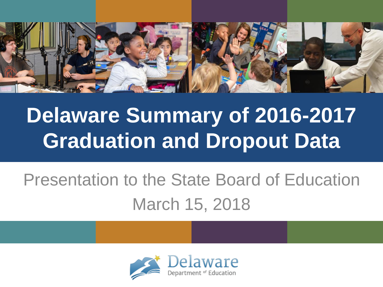

## **Delaware Summary of 2016-2017 Graduation and Dropout Data**

### Presentation to the State Board of Education March 15, 2018

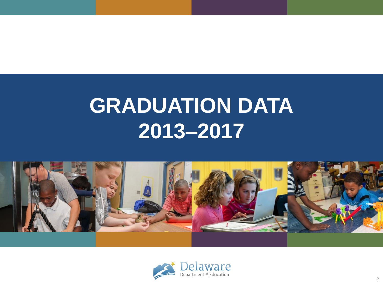## **GRADUATION DATA 2013–2017**



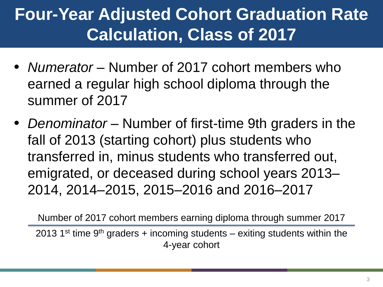### **Four-Year Adjusted Cohort Graduation Rate Calculation, Class of 2017**

- *Numerator* Number of 2017 cohort members who earned a regular high school diploma through the summer of 2017
- *Denominator* Number of first-time 9th graders in the fall of 2013 (starting cohort) plus students who transferred in, minus students who transferred out, emigrated, or deceased during school years 2013– 2014, 2014–2015, 2015–2016 and 2016–2017

2013 1<sup>st</sup> time 9<sup>th</sup> graders + incoming students – exiting students within the 4-year cohort Number of 2017 cohort members earning diploma through summer 2017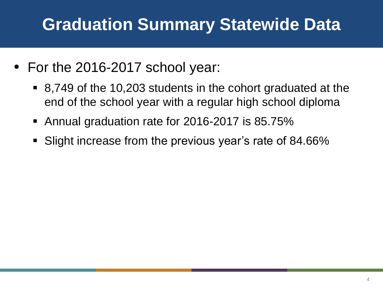### **Graduation Summary Statewide Data**

- For the 2016-2017 school year:
	- 8,749 of the 10,203 students in the cohort graduated at the end of the school year with a regular high school diploma
	- Annual graduation rate for 2016-2017 is 85.75%
	- Slight increase from the previous year's rate of 84.66%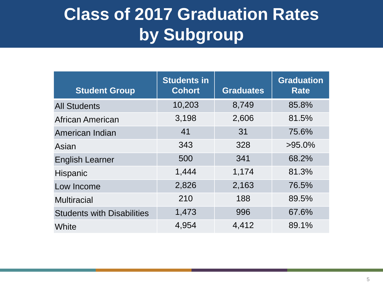### **Class of 2017 Graduation Rates by Subgroup**

| <b>Student Group</b>              | <b>Students in</b><br><b>Cohort</b> | <b>Graduates</b> | <b>Graduation</b><br><b>Rate</b> |
|-----------------------------------|-------------------------------------|------------------|----------------------------------|
| <b>All Students</b>               | 10,203                              | 8,749            | 85.8%                            |
| African American                  | 3,198                               | 2,606            | 81.5%                            |
| American Indian                   | 41                                  | 31               | 75.6%                            |
| Asian                             | 343                                 | 328              | $>95.0\%$                        |
| <b>English Learner</b>            | 500                                 | 341              | 68.2%                            |
| <b>Hispanic</b>                   | 1,444                               | 1,174            | 81.3%                            |
| Low Income                        | 2,826                               | 2,163            | 76.5%                            |
| <b>Multiracial</b>                | 210                                 | 188              | 89.5%                            |
| <b>Students with Disabilities</b> | 1,473                               | 996              | 67.6%                            |
| White                             | 4,954                               | 4,412            | 89.1%                            |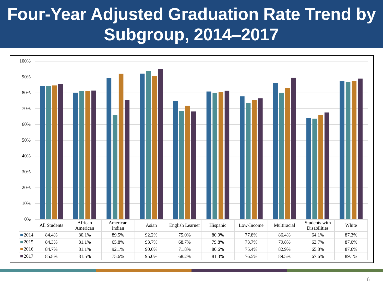### **Four-Year Adjusted Graduation Rate Trend by Subgroup, 2014–2017**

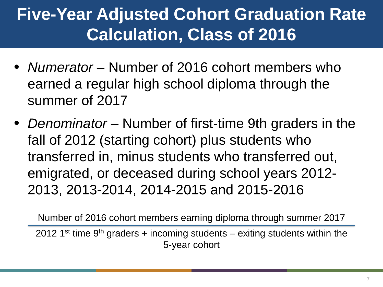### **Five-Year Adjusted Cohort Graduation Rate Calculation, Class of 2016**

- *Numerator* Number of 2016 cohort members who earned a regular high school diploma through the summer of 2017
- *Denominator* Number of first-time 9th graders in the fall of 2012 (starting cohort) plus students who transferred in, minus students who transferred out, emigrated, or deceased during school years 2012- 2013, 2013-2014, 2014-2015 and 2015-2016

2012 1<sup>st</sup> time 9<sup>th</sup> graders + incoming students – exiting students within the 5-year cohort Number of 2016 cohort members earning diploma through summer 2017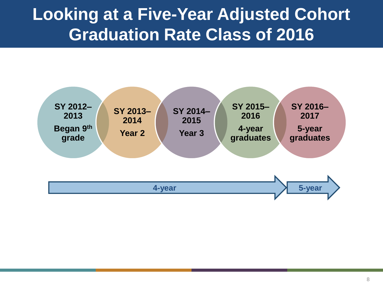### **Looking at a Five-Year Adjusted Cohort Graduation Rate Class of 2016**

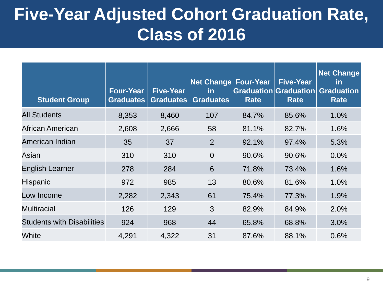### **Five-Year Adjusted Cohort Graduation Rate, Class of 2016**

| <b>Student Group</b>              | <b>Four-Year</b><br>Graduates | <b>Five-Year</b><br>Graduates | <b>Net Change Four-Year</b><br>in<br><b>Graduates</b> | <b>Rate</b> | <b>Five-Year</b><br>Graduation Graduation<br><b>Rate</b> | <b>Net Change</b><br><u>in</u><br><b>Graduation</b><br><b>Rate</b> |
|-----------------------------------|-------------------------------|-------------------------------|-------------------------------------------------------|-------------|----------------------------------------------------------|--------------------------------------------------------------------|
| <b>All Students</b>               | 8,353                         | 8,460                         | 107                                                   | 84.7%       | 85.6%                                                    | 1.0%                                                               |
| African American                  | 2,608                         | 2,666                         | 58                                                    | 81.1%       | 82.7%                                                    | 1.6%                                                               |
| American Indian                   | 35                            | 37                            | 2                                                     | 92.1%       | 97.4%                                                    | 5.3%                                                               |
| Asian                             | 310                           | 310                           | $\overline{0}$                                        | 90.6%       | 90.6%                                                    | 0.0%                                                               |
| <b>English Learner</b>            | 278                           | 284                           | 6                                                     | 71.8%       | 73.4%                                                    | 1.6%                                                               |
| <b>Hispanic</b>                   | 972                           | 985                           | 13                                                    | 80.6%       | 81.6%                                                    | 1.0%                                                               |
| Low Income                        | 2,282                         | 2,343                         | 61                                                    | 75.4%       | 77.3%                                                    | 1.9%                                                               |
| <b>Multiracial</b>                | 126                           | 129                           | 3                                                     | 82.9%       | 84.9%                                                    | 2.0%                                                               |
| <b>Students with Disabilities</b> | 924                           | 968                           | 44                                                    | 65.8%       | 68.8%                                                    | 3.0%                                                               |
| White                             | 4,291                         | 4,322                         | 31                                                    | 87.6%       | 88.1%                                                    | 0.6%                                                               |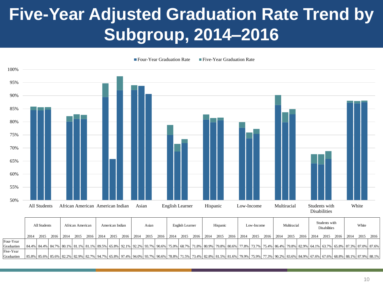### **Five-Year Adjusted Graduation Rate Trend by Subgroup, 2014–2016**



|            |      | All Students |  | African American |  | American Indian |                                         | Asian |  | English Learner                                         |  | Hispanic |  | Low-Income |                    | Multiracial |                | Students with<br><b>Disabilities</b> |                                                                                                                                                                                                                              | White |        |
|------------|------|--------------|--|------------------|--|-----------------|-----------------------------------------|-------|--|---------------------------------------------------------|--|----------|--|------------|--------------------|-------------|----------------|--------------------------------------|------------------------------------------------------------------------------------------------------------------------------------------------------------------------------------------------------------------------------|-------|--------|
|            | 2014 | 2015         |  |                  |  |                 | 2016 2014 2015 2016 2014 2015 2016 2014 |       |  | 2015 2016   2014 2015 2016   2014 2015 2016   2014 2015 |  |          |  |            | 2016   2014   2015 |             | 2016 2014 2015 |                                      | 2016   2014                                                                                                                                                                                                                  | 2015  | 2016 l |
| Four-Year  |      |              |  |                  |  |                 |                                         |       |  |                                                         |  |          |  |            |                    |             |                |                                      |                                                                                                                                                                                                                              |       |        |
| Graduation |      |              |  |                  |  |                 |                                         |       |  |                                                         |  |          |  |            |                    |             |                |                                      | 8.1%   84.4%   84.4%   84.7%   80.1%   81.1%   81.1%   89.5%   65.8%   92.1%   92.2%   93.7%   90.6%   75.0%   68.7%   71.8%   80.9%   79.8%   80.6%   77.8%   73.7%   75.4%   86.4%   79.8%   82.9%   64.1%   65.8%   65.8% |       |        |
| Five-Year  |      |              |  |                  |  |                 |                                         |       |  |                                                         |  |          |  |            |                    |             |                |                                      |                                                                                                                                                                                                                              |       |        |
| Graduation |      |              |  |                  |  |                 |                                         |       |  |                                                         |  |          |  |            |                    |             |                |                                      |                                                                                                                                                                                                                              |       |        |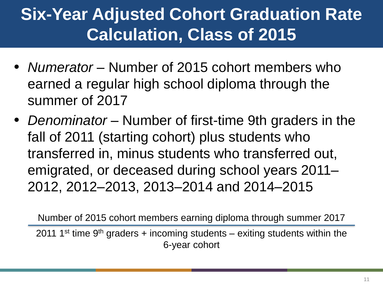### **Six-Year Adjusted Cohort Graduation Rate Calculation, Class of 2015**

- *Numerator* Number of 2015 cohort members who earned a regular high school diploma through the summer of 2017
- *Denominator* Number of first-time 9th graders in the fall of 2011 (starting cohort) plus students who transferred in, minus students who transferred out, emigrated, or deceased during school years 2011– 2012, 2012–2013, 2013–2014 and 2014–2015

Number of 2015 cohort members earning diploma through summer 2017

2011 1<sup>st</sup> time 9<sup>th</sup> graders + incoming students – exiting students within the 6-year cohort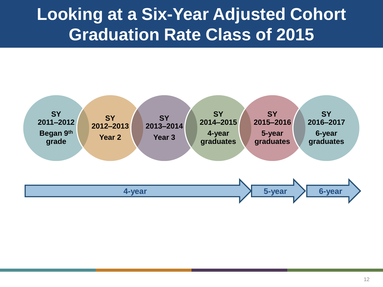### **Looking at a Six-Year Adjusted Cohort Graduation Rate Class of 2015**

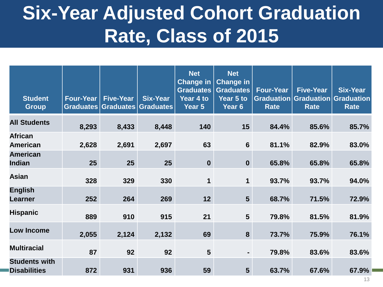### **Six-Year Adjusted Cohort Graduation Rate, Class of 2015**

| <b>Student</b><br><b>Group</b>              | <b>Four-Year</b><br>Graduates | <b>Five-Year</b><br>Graduates | <b>Six-Year</b><br>Graduates | <b>Net</b><br><b>Change in</b><br><b>Graduates</b><br>Year 4 to<br>Year 5 | <b>Net</b><br><b>Change in</b><br><b>Graduates</b><br>Year 5 to<br>Year 6 | <b>Four-Year</b><br><b>Graduation</b><br><b>Rate</b> | <b>Five-Year</b><br><b>Rate</b> | <b>Six-Year</b><br><b>Graduation Graduation</b><br>Rate |
|---------------------------------------------|-------------------------------|-------------------------------|------------------------------|---------------------------------------------------------------------------|---------------------------------------------------------------------------|------------------------------------------------------|---------------------------------|---------------------------------------------------------|
| <b>All Students</b>                         | 8,293                         | 8,433                         | 8,448                        | 140                                                                       | 15                                                                        | 84.4%                                                | 85.6%                           | 85.7%                                                   |
| <b>African</b><br><b>American</b>           | 2,628                         | 2,691                         | 2,697                        | 63                                                                        | $6\phantom{1}$                                                            | 81.1%                                                | 82.9%                           | 83.0%                                                   |
| <b>American</b><br>Indian                   | 25                            | 25                            | 25                           | $\boldsymbol{0}$                                                          | $\mathbf 0$                                                               | 65.8%                                                | 65.8%                           | 65.8%                                                   |
| <b>Asian</b>                                | 328                           | 329                           | 330                          | 1                                                                         | $\mathbf 1$                                                               | 93.7%                                                | 93.7%                           | 94.0%                                                   |
| <b>English</b><br><b>Learner</b>            | 252                           | 264                           | 269                          | 12                                                                        | 5 <sup>5</sup>                                                            | 68.7%                                                | 71.5%                           | 72.9%                                                   |
| <b>Hispanic</b>                             | 889                           | 910                           | 915                          | 21                                                                        | $5\phantom{1}$                                                            | 79.8%                                                | 81.5%                           | 81.9%                                                   |
| <b>Low Income</b>                           | 2,055                         | 2,124                         | 2,132                        | 69                                                                        | 8                                                                         | 73.7%                                                | 75.9%                           | 76.1%                                                   |
| <b>Multiracial</b>                          | 87                            | 92                            | 92                           | $5\phantom{1}$                                                            | $\blacksquare$                                                            | 79.8%                                                | 83.6%                           | 83.6%                                                   |
| <b>Students with</b><br><b>Disabilities</b> | 872                           | 931                           | 936                          | 59                                                                        | $5\overline{)}$                                                           | 63.7%                                                | 67.6%                           | 67.9%                                                   |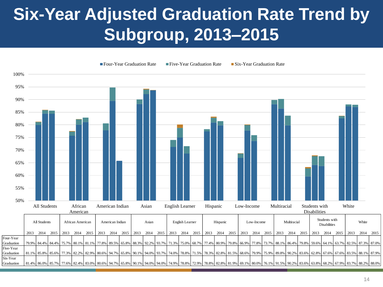### **Six-Year Adjusted Graduation Rate Trend by Subgroup, 2013–2015**

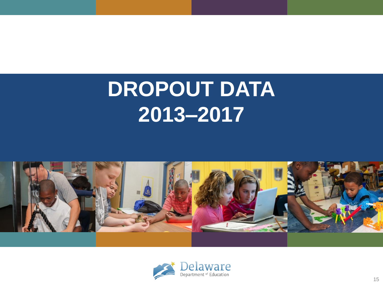# **DROPOUT DATA 2013–2017**



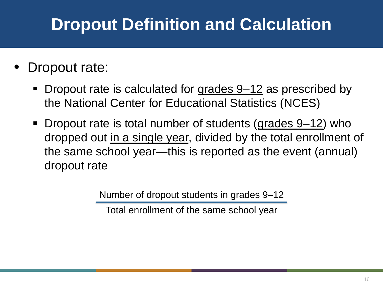### **Dropout Definition and Calculation**

#### Dropout rate:

- Dropout rate is calculated for grades 9–12 as prescribed by the National Center for Educational Statistics (NCES)
- Dropout rate is total number of students (grades 9–12) who dropped out in a single year, divided by the total enrollment of the same school year—this is reported as the event (annual) dropout rate

Number of dropout students in grades 9–12

Total enrollment of the same school year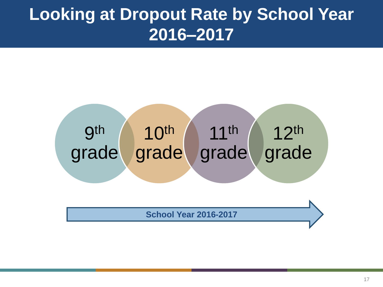### **Looking at Dropout Rate by School Year 2016–2017**



**School Year 2016-2017**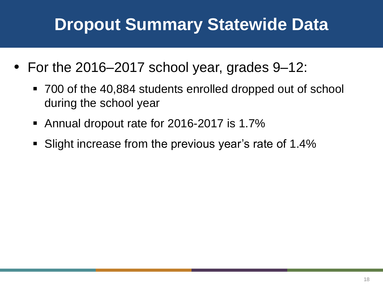### **Dropout Summary Statewide Data**

- For the 2016–2017 school year, grades 9–12:
	- 700 of the 40,884 students enrolled dropped out of school during the school year
	- Annual dropout rate for 2016-2017 is 1.7%
	- Slight increase from the previous year's rate of 1.4%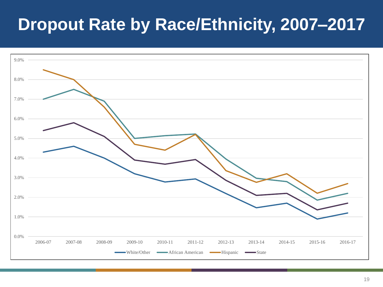### **Dropout Rate by Race/Ethnicity, 2007–2017**

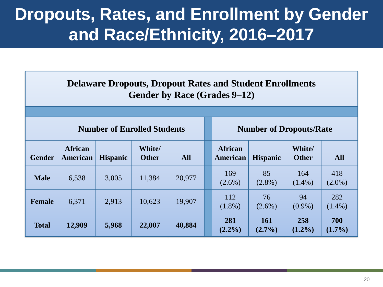### **Dropouts, Rates, and Enrollment by Gender and Race/Ethnicity, 2016–2017**

| <b>Delaware Dropouts, Dropout Rates and Student Enrollments</b><br>Gender by Race (Grades 9–12) |                            |                                    |                               |            |  |                                |                         |                        |                  |  |  |  |
|-------------------------------------------------------------------------------------------------|----------------------------|------------------------------------|-------------------------------|------------|--|--------------------------------|-------------------------|------------------------|------------------|--|--|--|
|                                                                                                 |                            | <b>Number of Enrolled Students</b> |                               |            |  | <b>Number of Dropouts/Rate</b> |                         |                        |                  |  |  |  |
| <b>Gender</b>                                                                                   | <b>African</b><br>American | <b>Hispanic</b>                    | <b>White/</b><br><b>Other</b> | <b>All</b> |  | <b>African</b><br>American     | <b>Hispanic</b>         | White/<br><b>Other</b> | <b>All</b>       |  |  |  |
| <b>Male</b>                                                                                     | 6,538                      | 3,005                              | 11,384                        | 20,977     |  | 169<br>$(2.6\%)$               | 85<br>$(2.8\%)$         | 164<br>$(1.4\%)$       | 418<br>$(2.0\%)$ |  |  |  |
| <b>Female</b>                                                                                   | 6,371                      | 2,913                              | 10,623                        | 19,907     |  | 112<br>$(1.8\%)$               | 76<br>$(2.6\%)$         | 94<br>$(0.9\%)$        | 282<br>$(1.4\%)$ |  |  |  |
| <b>Total</b>                                                                                    | 12,909                     | 5,968                              | 22,007                        | 40,884     |  | 281<br>$(2.2\%)$               | <b>161</b><br>$(2.7\%)$ | 258<br>$(1.2\%)$       | 700<br>$(1.7\%)$ |  |  |  |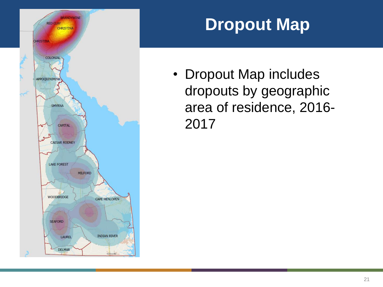

### **Dropout Map**

• Dropout Map includes dropouts by geographic area of residence, 2016- 2017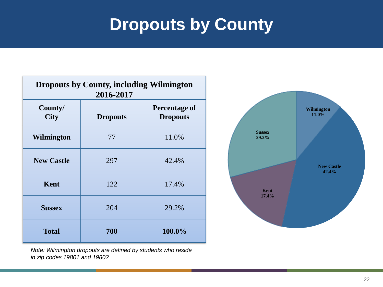### **Dropouts by County**

| <b>Dropouts by County, including Wilmington</b><br>2016-2017 |                 |                                         |  |  |  |  |  |  |  |  |  |
|--------------------------------------------------------------|-----------------|-----------------------------------------|--|--|--|--|--|--|--|--|--|
| County/<br><b>City</b>                                       | <b>Dropouts</b> | <b>Percentage of</b><br><b>Dropouts</b> |  |  |  |  |  |  |  |  |  |
| <b>Wilmington</b>                                            | 77              | 11.0%                                   |  |  |  |  |  |  |  |  |  |
| <b>New Castle</b>                                            | 297             | 42.4%                                   |  |  |  |  |  |  |  |  |  |
| <b>Kent</b>                                                  | 122             | 17.4%                                   |  |  |  |  |  |  |  |  |  |
| <b>Sussex</b>                                                | 204             | 29.2%                                   |  |  |  |  |  |  |  |  |  |
| <b>Total</b>                                                 | 700             | 100.0%                                  |  |  |  |  |  |  |  |  |  |



*Note: Wilmington dropouts are defined by students who reside in zip codes 19801 and 19802*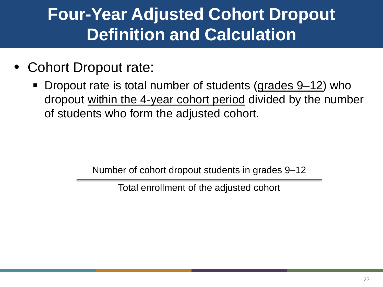### **Four-Year Adjusted Cohort Dropout Definition and Calculation**

- Cohort Dropout rate:
	- Dropout rate is total number of students (grades 9–12) who dropout within the 4-year cohort period divided by the number of students who form the adjusted cohort.

Number of cohort dropout students in grades 9–12

Total enrollment of the adjusted cohort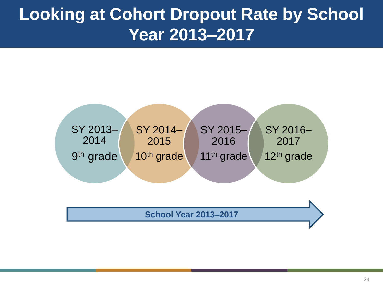### **Looking at Cohort Dropout Rate by School Year 2013–2017**



**School Year 2013–2017**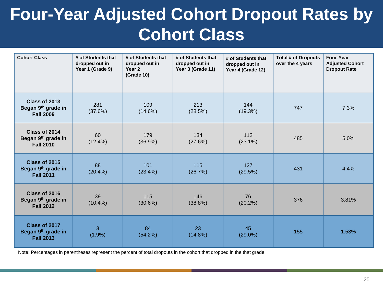### **Four-Year Adjusted Cohort Dropout Rates by Cohort Class**

| <b>Cohort Class</b>                                     | # of Students that<br>dropped out in<br>Year 1 (Grade 9) | # of Students that<br>dropped out in<br>Year 2<br>(Grade 10) | # of Students that<br>dropped out in<br>Year 3 (Grade 11) | # of Students that<br>dropped out in<br>Year 4 (Grade 12) | <b>Total # of Dropouts</b><br>over the 4 years | Four-Year<br><b>Adjusted Cohort</b><br><b>Dropout Rate</b> |
|---------------------------------------------------------|----------------------------------------------------------|--------------------------------------------------------------|-----------------------------------------------------------|-----------------------------------------------------------|------------------------------------------------|------------------------------------------------------------|
| Class of 2013<br>Began 9th grade in<br><b>Fall 2009</b> | 281<br>(37.6%)                                           | 109<br>(14.6%)                                               | 213<br>(28.5%)                                            | 144<br>(19.3%)                                            | 747                                            | 7.3%                                                       |
| Class of 2014<br>Began 9th grade in<br><b>Fall 2010</b> | 60<br>$(12.4\%)$                                         | 179<br>(36.9%)                                               | 134<br>(27.6%)                                            | 112<br>$(23.1\%)$                                         | 485                                            | 5.0%                                                       |
| Class of 2015<br>Began 9th grade in<br><b>Fall 2011</b> | 88<br>(20.4%)                                            | 101<br>$(23.4\%)$                                            | 115<br>(26.7%)                                            | 127<br>(29.5%)                                            | 431                                            | 4.4%                                                       |
| Class of 2016<br>Began 9th grade in<br><b>Fall 2012</b> | 39<br>$(10.4\%)$                                         | 115<br>(30.6%)                                               | 146<br>$(38.8\%)$                                         | 76<br>(20.2%)                                             | 376                                            | 3.81%                                                      |
| Class of 2017<br>Began 9th grade in<br><b>Fall 2013</b> | 3<br>(1.9%)                                              | 84<br>(54.2%)                                                | 23<br>(14.8%)                                             | 45<br>$(29.0\%)$                                          | 155                                            | 1.53%                                                      |

Note: Percentages in parentheses represent the percent of total dropouts in the cohort that dropped in the that grade.